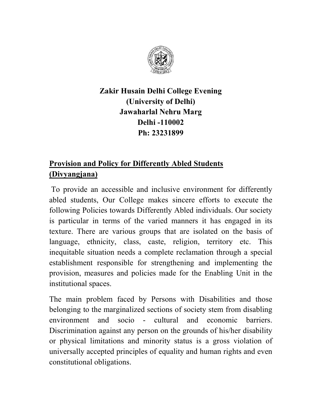

## **Zakir Husain Delhi College Evening (University of Delhi) Jawaharlal Nehru Marg Delhi -110002 Ph: 23231899**

# **Provision and Policy for Differently Abled Students (Divyangjana)**

To provide an accessible and inclusive environment for differently abled students, Our College makes sincere efforts to execute the following Policies towards Differently Abled individuals. Our society is particular in terms of the varied manners it has engaged in its texture. There are various groups that are isolated on the basis of language, ethnicity, class, caste, religion, territory etc. This inequitable situation needs a complete reclamation through a special establishment responsible for strengthening and implementing the provision, measures and policies made for the Enabling Unit in the institutional spaces.

The main problem faced by Persons with Disabilities and those belonging to the marginalized sections of society stem from disabling environment and socio - cultural and economic barriers. Discrimination against any person on the grounds of his/her disability or physical limitations and minority status is a gross violation of universally accepted principles of equality and human rights and even constitutional obligations.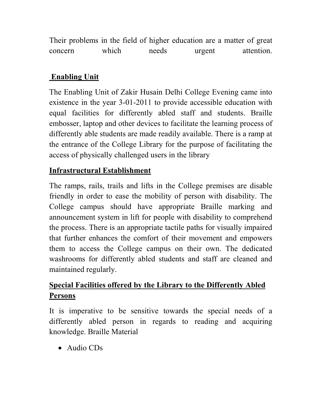Their problems in the field of higher education are a matter of great concern which needs urgent attention.

### **Enabling Unit**

The Enabling Unit of Zakir Husain Delhi College Evening came into existence in the year 3-01-2011 to provide accessible education with equal facilities for differently abled staff and students. Braille embosser, laptop and other devices to facilitate the learning process of differently able students are made readily available. There is a ramp at the entrance of the College Library for the purpose of facilitating the access of physically challenged users in the library

### **Infrastructural Establishment**

The ramps, rails, trails and lifts in the College premises are disable friendly in order to ease the mobility of person with disability. The College campus should have appropriate Braille marking and announcement system in lift for people with disability to comprehend the process. There is an appropriate tactile paths for visually impaired that further enhances the comfort of their movement and empowers them to access the College campus on their own. The dedicated washrooms for differently abled students and staff are cleaned and maintained regularly.

## **Special Facilities offered by the Library to the Differently Abled Persons**

It is imperative to be sensitive towards the special needs of a differently abled person in regards to reading and acquiring knowledge. Braille Material

• Audio CDs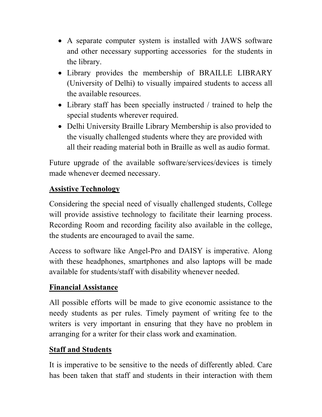- A separate computer system is installed with JAWS software and other necessary supporting accessories for the students in the library.
- Library provides the membership of BRAILLE LIBRARY (University of Delhi) to visually impaired students to access all the available resources.
- Library staff has been specially instructed / trained to help the special students wherever required.
- Delhi University Braille Library Membership is also provided to the visually challenged students where they are provided with all their reading material both in Braille as well as audio format.

Future upgrade of the available software/services/devices is timely made whenever deemed necessary.

#### **Assistive Technology**

Considering the special need of visually challenged students, College will provide assistive technology to facilitate their learning process. Recording Room and recording facility also available in the college, the students are encouraged to avail the same.

Access to software like Angel-Pro and DAISY is imperative. Along with these headphones, smartphones and also laptops will be made available for students/staff with disability whenever needed.

### **Financial Assistance**

All possible efforts will be made to give economic assistance to the needy students as per rules. Timely payment of writing fee to the writers is very important in ensuring that they have no problem in arranging for a writer for their class work and examination.

#### **Staff and Students**

It is imperative to be sensitive to the needs of differently abled. Care has been taken that staff and students in their interaction with them